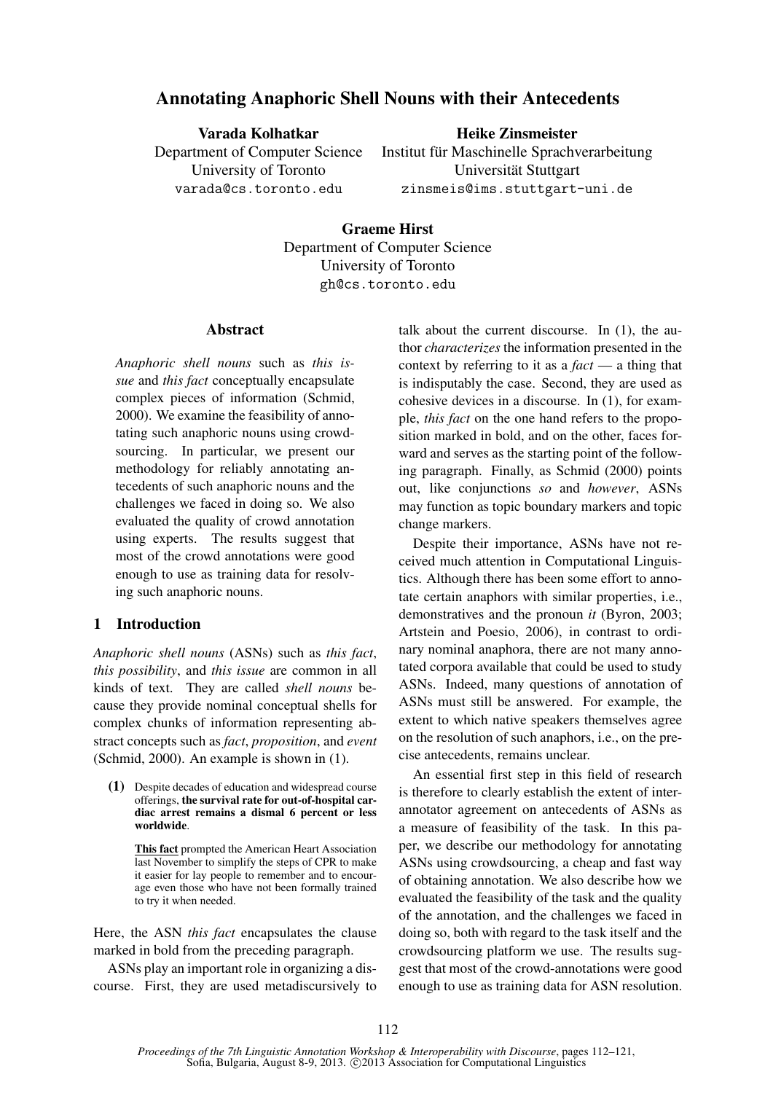# Annotating Anaphoric Shell Nouns with their Antecedents

Varada Kolhatkar Department of Computer Science University of Toronto varada@cs.toronto.edu

# Heike Zinsmeister

Institut für Maschinelle Sprachverarbeitung Universität Stuttgart zinsmeis@ims.stuttgart-uni.de

### Graeme Hirst

Department of Computer Science University of Toronto gh@cs.toronto.edu

### **Abstract**

*Anaphoric shell nouns* such as *this issue* and *this fact* conceptually encapsulate complex pieces of information (Schmid, 2000). We examine the feasibility of annotating such anaphoric nouns using crowdsourcing. In particular, we present our methodology for reliably annotating antecedents of such anaphoric nouns and the challenges we faced in doing so. We also evaluated the quality of crowd annotation using experts. The results suggest that most of the crowd annotations were good enough to use as training data for resolving such anaphoric nouns.

# 1 Introduction

*Anaphoric shell nouns* (ASNs) such as *this fact*, *this possibility*, and *this issue* are common in all kinds of text. They are called *shell nouns* because they provide nominal conceptual shells for complex chunks of information representing abstract concepts such as *fact*, *proposition*, and *event* (Schmid, 2000). An example is shown in (1).

(1) Despite decades of education and widespread course offerings, the survival rate for out-of-hospital cardiac arrest remains a dismal 6 percent or less worldwide.

This fact prompted the American Heart Association last November to simplify the steps of CPR to make it easier for lay people to remember and to encourage even those who have not been formally trained to try it when needed.

Here, the ASN *this fact* encapsulates the clause marked in bold from the preceding paragraph.

ASNs play an important role in organizing a discourse. First, they are used metadiscursively to talk about the current discourse. In (1), the author *characterizes* the information presented in the context by referring to it as a *fact* — a thing that is indisputably the case. Second, they are used as cohesive devices in a discourse. In (1), for example, *this fact* on the one hand refers to the proposition marked in bold, and on the other, faces forward and serves as the starting point of the following paragraph. Finally, as Schmid (2000) points out, like conjunctions *so* and *however*, ASNs may function as topic boundary markers and topic change markers.

Despite their importance, ASNs have not received much attention in Computational Linguistics. Although there has been some effort to annotate certain anaphors with similar properties, i.e., demonstratives and the pronoun *it* (Byron, 2003; Artstein and Poesio, 2006), in contrast to ordinary nominal anaphora, there are not many annotated corpora available that could be used to study ASNs. Indeed, many questions of annotation of ASNs must still be answered. For example, the extent to which native speakers themselves agree on the resolution of such anaphors, i.e., on the precise antecedents, remains unclear.

An essential first step in this field of research is therefore to clearly establish the extent of interannotator agreement on antecedents of ASNs as a measure of feasibility of the task. In this paper, we describe our methodology for annotating ASNs using crowdsourcing, a cheap and fast way of obtaining annotation. We also describe how we evaluated the feasibility of the task and the quality of the annotation, and the challenges we faced in doing so, both with regard to the task itself and the crowdsourcing platform we use. The results suggest that most of the crowd-annotations were good enough to use as training data for ASN resolution.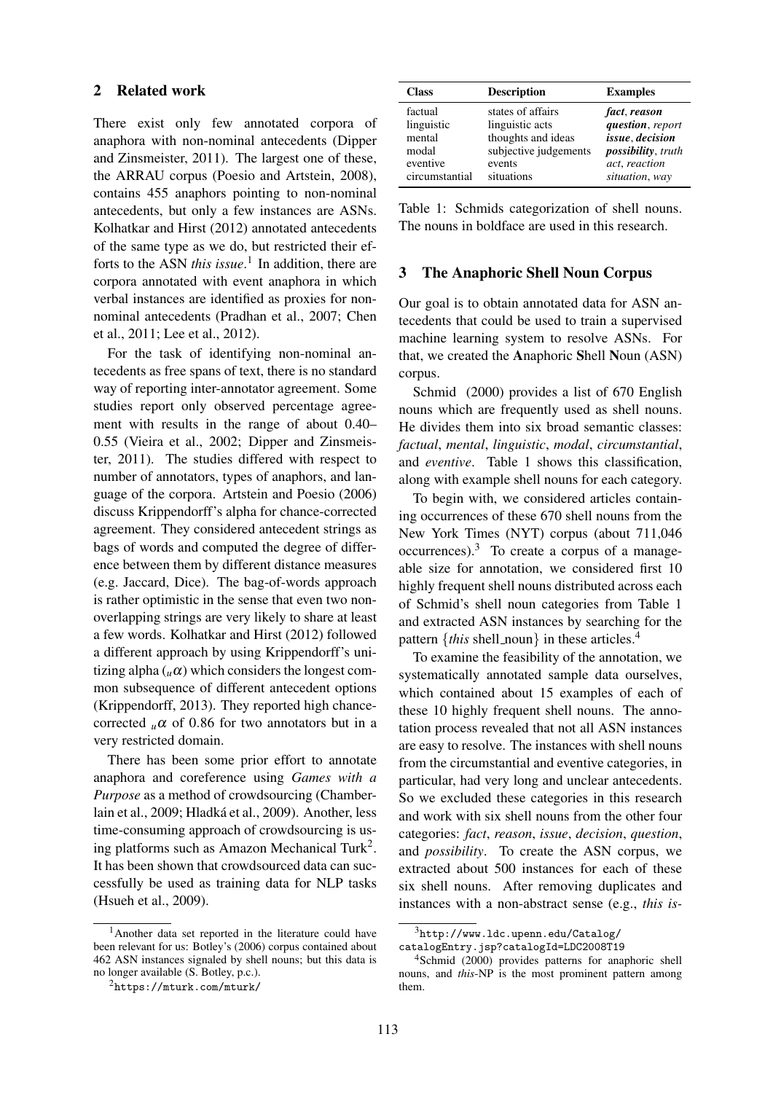#### 2 Related work

There exist only few annotated corpora of anaphora with non-nominal antecedents (Dipper and Zinsmeister, 2011). The largest one of these, the ARRAU corpus (Poesio and Artstein, 2008), contains 455 anaphors pointing to non-nominal antecedents, but only a few instances are ASNs. Kolhatkar and Hirst (2012) annotated antecedents of the same type as we do, but restricted their efforts to the ASN *this issue*. 1 In addition, there are corpora annotated with event anaphora in which verbal instances are identified as proxies for nonnominal antecedents (Pradhan et al., 2007; Chen et al., 2011; Lee et al., 2012).

For the task of identifying non-nominal antecedents as free spans of text, there is no standard way of reporting inter-annotator agreement. Some studies report only observed percentage agreement with results in the range of about 0.40– 0.55 (Vieira et al., 2002; Dipper and Zinsmeister, 2011). The studies differed with respect to number of annotators, types of anaphors, and language of the corpora. Artstein and Poesio (2006) discuss Krippendorff's alpha for chance-corrected agreement. They considered antecedent strings as bags of words and computed the degree of difference between them by different distance measures (e.g. Jaccard, Dice). The bag-of-words approach is rather optimistic in the sense that even two nonoverlapping strings are very likely to share at least a few words. Kolhatkar and Hirst (2012) followed a different approach by using Krippendorff's unitizing alpha  $(\mu \alpha)$  which considers the longest common subsequence of different antecedent options (Krippendorff, 2013). They reported high chancecorrected  $\mu \alpha$  of 0.86 for two annotators but in a very restricted domain.

There has been some prior effort to annotate anaphora and coreference using *Games with a Purpose* as a method of crowdsourcing (Chamberlain et al., 2009; Hladká et al., 2009). Another, less time-consuming approach of crowdsourcing is using platforms such as Amazon Mechanical Turk<sup>2</sup>. It has been shown that crowdsourced data can successfully be used as training data for NLP tasks (Hsueh et al., 2009).

| <b>Class</b>                                         | <b>Description</b>                                                                            | <b>Examples</b>                                                                                    |
|------------------------------------------------------|-----------------------------------------------------------------------------------------------|----------------------------------------------------------------------------------------------------|
| factual<br>linguistic<br>mental<br>modal<br>eventive | states of affairs<br>linguistic acts<br>thoughts and ideas<br>subjective judgements<br>events | fact, reason<br>question, report<br>issue, decision<br><i>possibility</i> , truth<br>act, reaction |
| circumstantial                                       | situations                                                                                    | situation, way                                                                                     |

Table 1: Schmids categorization of shell nouns. The nouns in boldface are used in this research.

### 3 The Anaphoric Shell Noun Corpus

Our goal is to obtain annotated data for ASN antecedents that could be used to train a supervised machine learning system to resolve ASNs. For that, we created the Anaphoric Shell Noun (ASN) corpus.

Schmid (2000) provides a list of 670 English nouns which are frequently used as shell nouns. He divides them into six broad semantic classes: *factual*, *mental*, *linguistic*, *modal*, *circumstantial*, and *eventive*. Table 1 shows this classification, along with example shell nouns for each category.

To begin with, we considered articles containing occurrences of these 670 shell nouns from the New York Times (NYT) corpus (about 711,046  $occurrences$ ).<sup>3</sup> To create a corpus of a manageable size for annotation, we considered first 10 highly frequent shell nouns distributed across each of Schmid's shell noun categories from Table 1 and extracted ASN instances by searching for the pattern  $\{this\ shell\_noun\}$  in these articles.<sup>4</sup>

To examine the feasibility of the annotation, we systematically annotated sample data ourselves, which contained about 15 examples of each of these 10 highly frequent shell nouns. The annotation process revealed that not all ASN instances are easy to resolve. The instances with shell nouns from the circumstantial and eventive categories, in particular, had very long and unclear antecedents. So we excluded these categories in this research and work with six shell nouns from the other four categories: *fact*, *reason*, *issue*, *decision*, *question*, and *possibility*. To create the ASN corpus, we extracted about 500 instances for each of these six shell nouns. After removing duplicates and instances with a non-abstract sense (e.g., *this is-*

<sup>&</sup>lt;sup>1</sup>Another data set reported in the literature could have been relevant for us: Botley's (2006) corpus contained about 462 ASN instances signaled by shell nouns; but this data is no longer available (S. Botley, p.c.).

<sup>2</sup>https://mturk.com/mturk/

<sup>3</sup>http://www.ldc.upenn.edu/Catalog/ catalogEntry.jsp?catalogId=LDC2008T19

<sup>4</sup>Schmid (2000) provides patterns for anaphoric shell nouns, and *this*-NP is the most prominent pattern among them.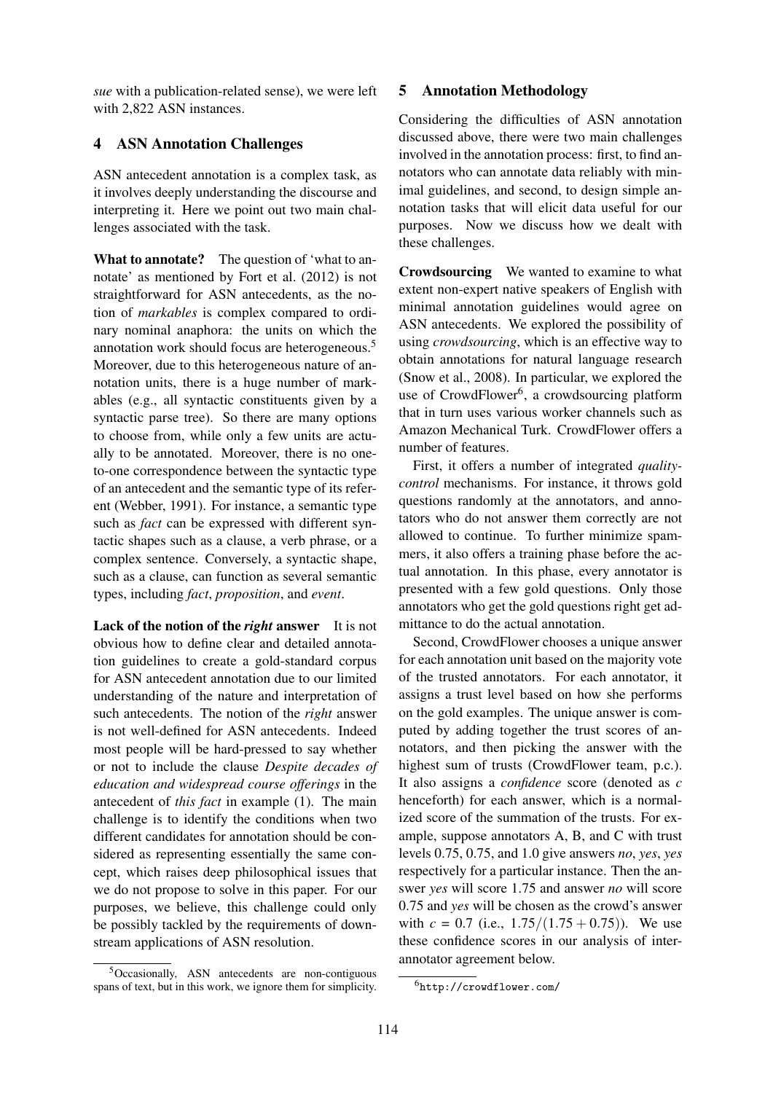*sue* with a publication-related sense), we were left with 2,822 ASN instances.

# 4 ASN Annotation Challenges

ASN antecedent annotation is a complex task, as it involves deeply understanding the discourse and interpreting it. Here we point out two main challenges associated with the task.

What to annotate? The question of 'what to annotate' as mentioned by Fort et al. (2012) is not straightforward for ASN antecedents, as the notion of *markables* is complex compared to ordinary nominal anaphora: the units on which the annotation work should focus are heterogeneous.<sup>5</sup> Moreover, due to this heterogeneous nature of annotation units, there is a huge number of markables (e.g., all syntactic constituents given by a syntactic parse tree). So there are many options to choose from, while only a few units are actually to be annotated. Moreover, there is no oneto-one correspondence between the syntactic type of an antecedent and the semantic type of its referent (Webber, 1991). For instance, a semantic type such as *fact* can be expressed with different syntactic shapes such as a clause, a verb phrase, or a complex sentence. Conversely, a syntactic shape, such as a clause, can function as several semantic types, including *fact*, *proposition*, and *event*.

Lack of the notion of the *right* answer It is not obvious how to define clear and detailed annotation guidelines to create a gold-standard corpus for ASN antecedent annotation due to our limited understanding of the nature and interpretation of such antecedents. The notion of the *right* answer is not well-defined for ASN antecedents. Indeed most people will be hard-pressed to say whether or not to include the clause *Despite decades of education and widespread course offerings* in the antecedent of *this fact* in example (1). The main challenge is to identify the conditions when two different candidates for annotation should be considered as representing essentially the same concept, which raises deep philosophical issues that we do not propose to solve in this paper. For our purposes, we believe, this challenge could only be possibly tackled by the requirements of downstream applications of ASN resolution.

# 5 Annotation Methodology

Considering the difficulties of ASN annotation discussed above, there were two main challenges involved in the annotation process: first, to find annotators who can annotate data reliably with minimal guidelines, and second, to design simple annotation tasks that will elicit data useful for our purposes. Now we discuss how we dealt with these challenges.

Crowdsourcing We wanted to examine to what extent non-expert native speakers of English with minimal annotation guidelines would agree on ASN antecedents. We explored the possibility of using *crowdsourcing*, which is an effective way to obtain annotations for natural language research (Snow et al., 2008). In particular, we explored the use of CrowdFlower<sup>6</sup>, a crowdsourcing platform that in turn uses various worker channels such as Amazon Mechanical Turk. CrowdFlower offers a number of features.

First, it offers a number of integrated *qualitycontrol* mechanisms. For instance, it throws gold questions randomly at the annotators, and annotators who do not answer them correctly are not allowed to continue. To further minimize spammers, it also offers a training phase before the actual annotation. In this phase, every annotator is presented with a few gold questions. Only those annotators who get the gold questions right get admittance to do the actual annotation.

Second, CrowdFlower chooses a unique answer for each annotation unit based on the majority vote of the trusted annotators. For each annotator, it assigns a trust level based on how she performs on the gold examples. The unique answer is computed by adding together the trust scores of annotators, and then picking the answer with the highest sum of trusts (CrowdFlower team, p.c.). It also assigns a *confidence* score (denoted as *c* henceforth) for each answer, which is a normalized score of the summation of the trusts. For example, suppose annotators A, B, and C with trust levels 0.75, 0.75, and 1.0 give answers *no*, *yes*, *yes* respectively for a particular instance. Then the answer *yes* will score 1.75 and answer *no* will score 0.75 and *yes* will be chosen as the crowd's answer with  $c = 0.7$  (i.e.,  $1.75/(1.75 + 0.75)$ ). We use these confidence scores in our analysis of interannotator agreement below.

<sup>5</sup>Occasionally, ASN antecedents are non-contiguous spans of text, but in this work, we ignore them for simplicity.

<sup>6</sup>http://crowdflower.com/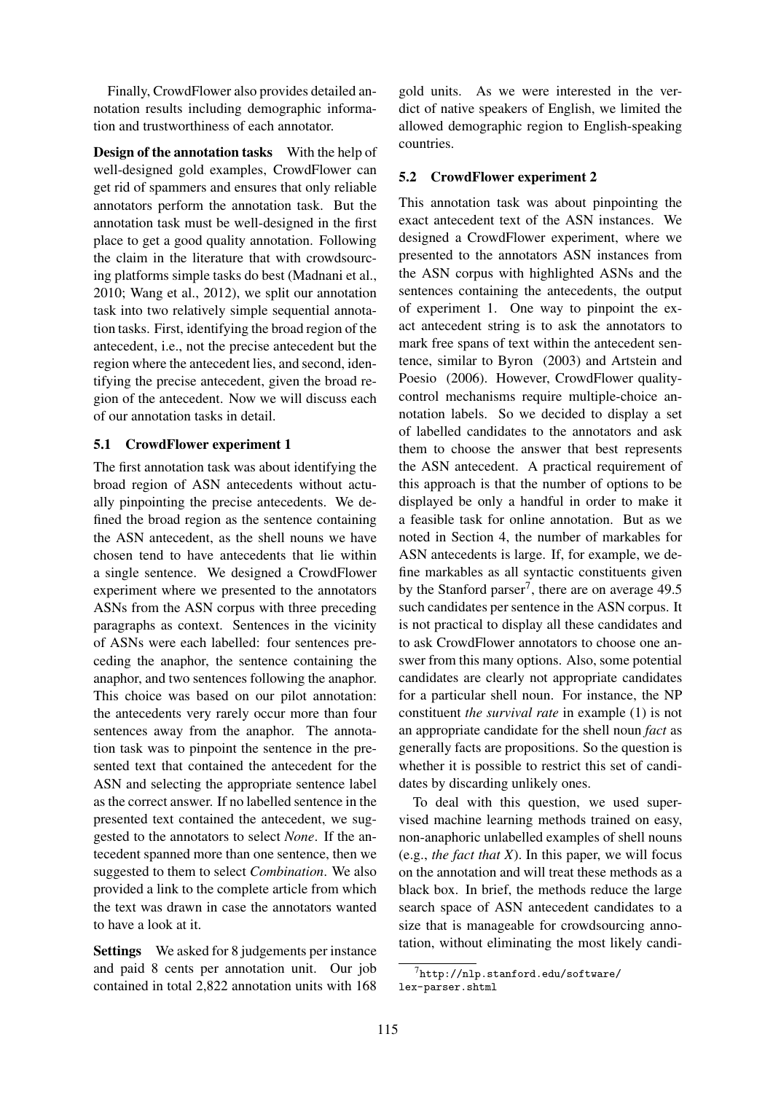Finally, CrowdFlower also provides detailed annotation results including demographic information and trustworthiness of each annotator.

Design of the annotation tasks With the help of well-designed gold examples, CrowdFlower can get rid of spammers and ensures that only reliable annotators perform the annotation task. But the annotation task must be well-designed in the first place to get a good quality annotation. Following the claim in the literature that with crowdsourcing platforms simple tasks do best (Madnani et al., 2010; Wang et al., 2012), we split our annotation task into two relatively simple sequential annotation tasks. First, identifying the broad region of the antecedent, i.e., not the precise antecedent but the region where the antecedent lies, and second, identifying the precise antecedent, given the broad region of the antecedent. Now we will discuss each of our annotation tasks in detail.

### 5.1 CrowdFlower experiment 1

The first annotation task was about identifying the broad region of ASN antecedents without actually pinpointing the precise antecedents. We defined the broad region as the sentence containing the ASN antecedent, as the shell nouns we have chosen tend to have antecedents that lie within a single sentence. We designed a CrowdFlower experiment where we presented to the annotators ASNs from the ASN corpus with three preceding paragraphs as context. Sentences in the vicinity of ASNs were each labelled: four sentences preceding the anaphor, the sentence containing the anaphor, and two sentences following the anaphor. This choice was based on our pilot annotation: the antecedents very rarely occur more than four sentences away from the anaphor. The annotation task was to pinpoint the sentence in the presented text that contained the antecedent for the ASN and selecting the appropriate sentence label as the correct answer. If no labelled sentence in the presented text contained the antecedent, we suggested to the annotators to select *None*. If the antecedent spanned more than one sentence, then we suggested to them to select *Combination*. We also provided a link to the complete article from which the text was drawn in case the annotators wanted to have a look at it.

Settings We asked for 8 judgements per instance and paid 8 cents per annotation unit. Our job contained in total 2,822 annotation units with 168

gold units. As we were interested in the verdict of native speakers of English, we limited the allowed demographic region to English-speaking countries.

## 5.2 CrowdFlower experiment 2

This annotation task was about pinpointing the exact antecedent text of the ASN instances. We designed a CrowdFlower experiment, where we presented to the annotators ASN instances from the ASN corpus with highlighted ASNs and the sentences containing the antecedents, the output of experiment 1. One way to pinpoint the exact antecedent string is to ask the annotators to mark free spans of text within the antecedent sentence, similar to Byron (2003) and Artstein and Poesio (2006). However, CrowdFlower qualitycontrol mechanisms require multiple-choice annotation labels. So we decided to display a set of labelled candidates to the annotators and ask them to choose the answer that best represents the ASN antecedent. A practical requirement of this approach is that the number of options to be displayed be only a handful in order to make it a feasible task for online annotation. But as we noted in Section 4, the number of markables for ASN antecedents is large. If, for example, we define markables as all syntactic constituents given by the Stanford parser<sup>7</sup>, there are on average 49.5 such candidates per sentence in the ASN corpus. It is not practical to display all these candidates and to ask CrowdFlower annotators to choose one answer from this many options. Also, some potential candidates are clearly not appropriate candidates for a particular shell noun. For instance, the NP constituent *the survival rate* in example (1) is not an appropriate candidate for the shell noun *fact* as generally facts are propositions. So the question is whether it is possible to restrict this set of candidates by discarding unlikely ones.

To deal with this question, we used supervised machine learning methods trained on easy, non-anaphoric unlabelled examples of shell nouns (e.g., *the fact that X*). In this paper, we will focus on the annotation and will treat these methods as a black box. In brief, the methods reduce the large search space of ASN antecedent candidates to a size that is manageable for crowdsourcing annotation, without eliminating the most likely candi-

 $^{7}$ http://nlp.stanford.edu/software/ lex-parser.shtml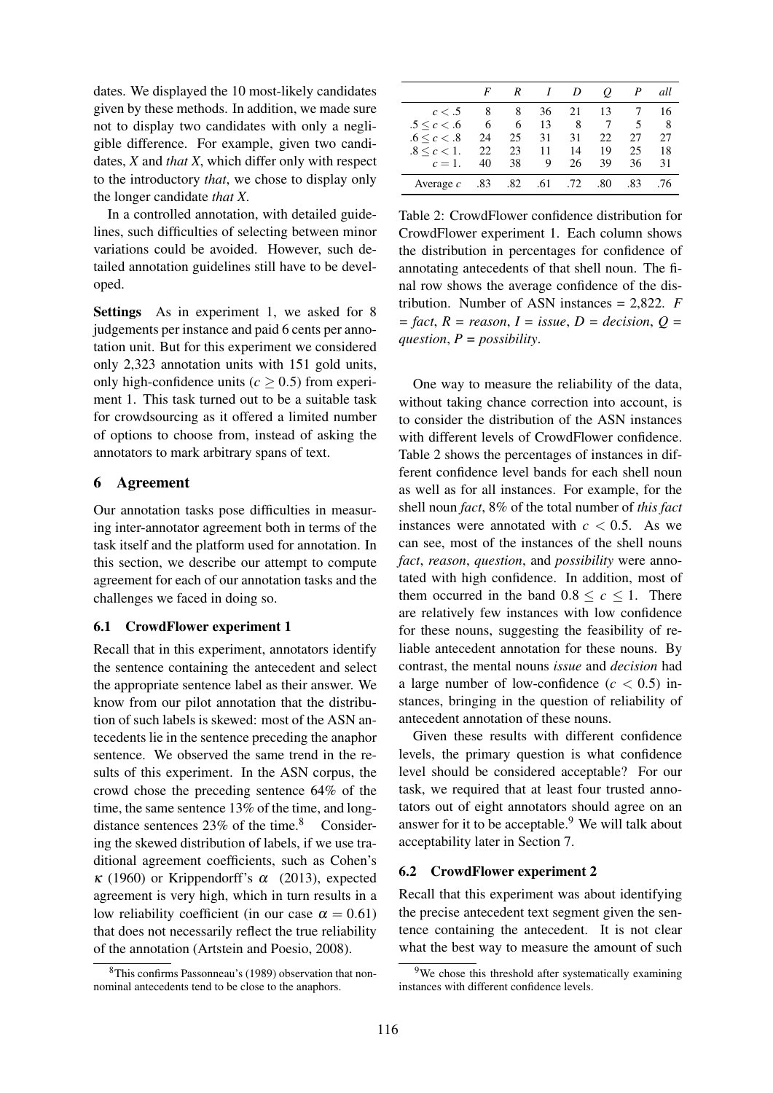dates. We displayed the 10 most-likely candidates given by these methods. In addition, we made sure not to display two candidates with only a negligible difference. For example, given two candidates, *X* and *that X*, which differ only with respect to the introductory *that*, we chose to display only the longer candidate *that X*.

In a controlled annotation, with detailed guidelines, such difficulties of selecting between minor variations could be avoided. However, such detailed annotation guidelines still have to be developed.

Settings As in experiment 1, we asked for 8 judgements per instance and paid 6 cents per annotation unit. But for this experiment we considered only 2,323 annotation units with 151 gold units, only high-confidence units  $(c > 0.5)$  from experiment 1. This task turned out to be a suitable task for crowdsourcing as it offered a limited number of options to choose from, instead of asking the annotators to mark arbitrary spans of text.

# 6 Agreement

Our annotation tasks pose difficulties in measuring inter-annotator agreement both in terms of the task itself and the platform used for annotation. In this section, we describe our attempt to compute agreement for each of our annotation tasks and the challenges we faced in doing so.

### 6.1 CrowdFlower experiment 1

Recall that in this experiment, annotators identify the sentence containing the antecedent and select the appropriate sentence label as their answer. We know from our pilot annotation that the distribution of such labels is skewed: most of the ASN antecedents lie in the sentence preceding the anaphor sentence. We observed the same trend in the results of this experiment. In the ASN corpus, the crowd chose the preceding sentence 64% of the time, the same sentence 13% of the time, and longdistance sentences  $23\%$  of the time.<sup>8</sup> Considering the skewed distribution of labels, if we use traditional agreement coefficients, such as Cohen's κ (1960) or Krippendorff's α (2013), expected agreement is very high, which in turn results in a low reliability coefficient (in our case  $\alpha = 0.61$ ) that does not necessarily reflect the true reliability of the annotation (Artstein and Poesio, 2008).

|                     | F   | R   |     | D   | o   | $\boldsymbol{P}$ | all |
|---------------------|-----|-----|-----|-----|-----|------------------|-----|
| c < .5              | 8   | 8   | 36  | 21  | 13  |                  | 16  |
| $.5 \leq c < .6$    | 6   | 6   | 13  | 8   |     | 5                | 8   |
| .6 < c < .8         | 24  | 25  | 31  | 31  | 22  | 27               | 27  |
| $.8 \leq c \leq 1.$ | 22  | 23  | 11  | 14  | 19  | 25               | 18  |
| $c=1$ .             | 40  | 38  | 9   | 26  | 39  | 36               | 31  |
| Average $c$         | .83 | .82 | .61 | .72 | .80 | .83              | .76 |

Table 2: CrowdFlower confidence distribution for CrowdFlower experiment 1. Each column shows the distribution in percentages for confidence of annotating antecedents of that shell noun. The final row shows the average confidence of the distribution. Number of ASN instances = 2,822. *F = fact*, *R = reason*, *I = issue*, *D = decision*, *Q = question*, *P = possibility*.

One way to measure the reliability of the data, without taking chance correction into account, is to consider the distribution of the ASN instances with different levels of CrowdFlower confidence. Table 2 shows the percentages of instances in different confidence level bands for each shell noun as well as for all instances. For example, for the shell noun *fact*, 8% of the total number of *this fact* instances were annotated with  $c < 0.5$ . As we can see, most of the instances of the shell nouns *fact*, *reason*, *question*, and *possibility* were annotated with high confidence. In addition, most of them occurred in the band  $0.8 \leq c \leq 1$ . There are relatively few instances with low confidence for these nouns, suggesting the feasibility of reliable antecedent annotation for these nouns. By contrast, the mental nouns *issue* and *decision* had a large number of low-confidence  $(c < 0.5)$  instances, bringing in the question of reliability of antecedent annotation of these nouns.

Given these results with different confidence levels, the primary question is what confidence level should be considered acceptable? For our task, we required that at least four trusted annotators out of eight annotators should agree on an answer for it to be acceptable.<sup>9</sup> We will talk about acceptability later in Section 7.

### 6.2 CrowdFlower experiment 2

Recall that this experiment was about identifying the precise antecedent text segment given the sentence containing the antecedent. It is not clear what the best way to measure the amount of such

<sup>8</sup>This confirms Passonneau's (1989) observation that nonnominal antecedents tend to be close to the anaphors.

<sup>&</sup>lt;sup>9</sup>We chose this threshold after systematically examining instances with different confidence levels.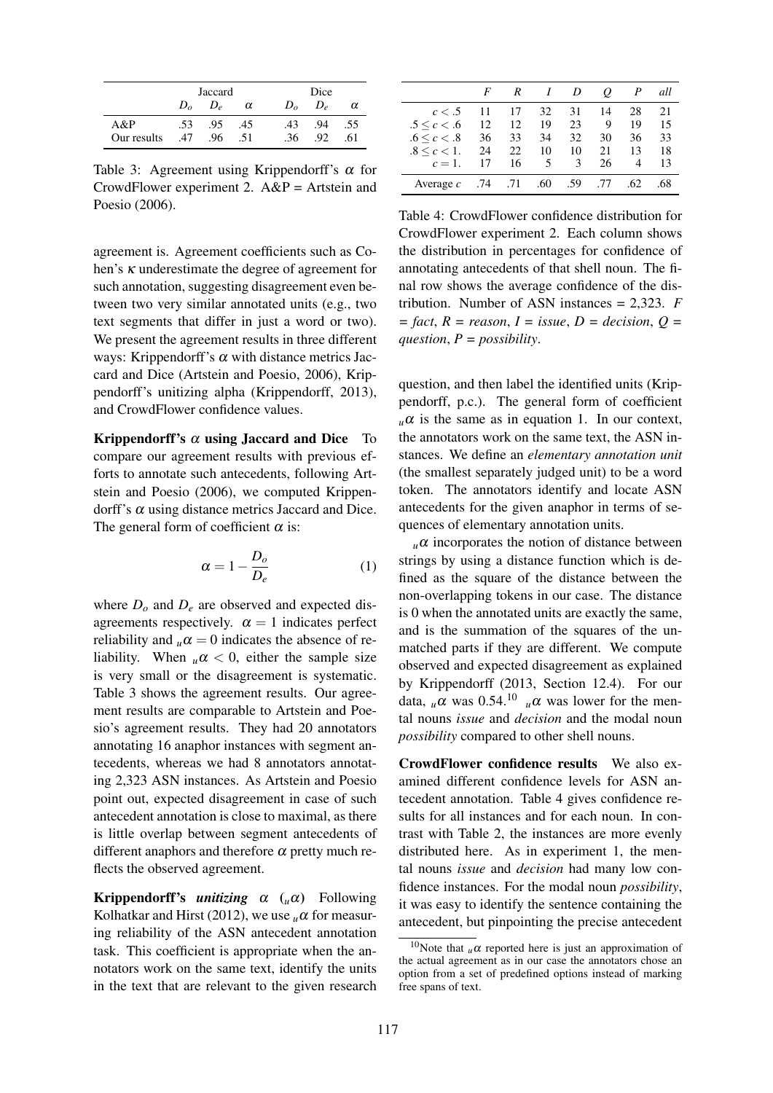|             |              | Jaccard    |          |              | Dice |          |  |  |
|-------------|--------------|------------|----------|--------------|------|----------|--|--|
|             | $D_{\alpha}$ | $D_{\rho}$ | $\alpha$ | $D_{\alpha}$ | D,   | $\alpha$ |  |  |
| A&P         | .53          | .95        | .45      | .43          | .94  | .55      |  |  |
| Our results | .47          | .96        | .51      | .36          | .92  | .61      |  |  |

Table 3: Agreement using Krippendorff's  $\alpha$  for CrowdFlower experiment 2. A&P = Artstein and Poesio (2006).

agreement is. Agreement coefficients such as Cohen's κ underestimate the degree of agreement for such annotation, suggesting disagreement even between two very similar annotated units (e.g., two text segments that differ in just a word or two). We present the agreement results in three different ways: Krippendorff's  $\alpha$  with distance metrics Jaccard and Dice (Artstein and Poesio, 2006), Krippendorff's unitizing alpha (Krippendorff, 2013), and CrowdFlower confidence values.

Krippendorff's  $\alpha$  using Jaccard and Dice To compare our agreement results with previous efforts to annotate such antecedents, following Artstein and Poesio (2006), we computed Krippendorff's α using distance metrics Jaccard and Dice. The general form of coefficient  $\alpha$  is:

$$
\alpha = 1 - \frac{D_o}{D_e} \tag{1}
$$

where  $D<sub>o</sub>$  and  $D<sub>e</sub>$  are observed and expected disagreements respectively.  $\alpha = 1$  indicates perfect reliability and  $\mu \alpha = 0$  indicates the absence of reliability. When  $\mu \alpha < 0$ , either the sample size is very small or the disagreement is systematic. Table 3 shows the agreement results. Our agreement results are comparable to Artstein and Poesio's agreement results. They had 20 annotators annotating 16 anaphor instances with segment antecedents, whereas we had 8 annotators annotating 2,323 ASN instances. As Artstein and Poesio point out, expected disagreement in case of such antecedent annotation is close to maximal, as there is little overlap between segment antecedents of different anaphors and therefore  $\alpha$  pretty much reflects the observed agreement.

Krippendorff's *unitizing* α (*u*α) Following Kolhatkar and Hirst (2012), we use  $\mu\alpha$  for measuring reliability of the ASN antecedent annotation task. This coefficient is appropriate when the annotators work on the same text, identify the units in the text that are relevant to the given research

|                     | F   | R   |     | D   | 0   | P   | all |
|---------------------|-----|-----|-----|-----|-----|-----|-----|
| c < .5              | 11  | 17  | 32  | 31  | 14  | 28  | 21  |
| $.5 \leq c < .6$    | 12  | 12  | 19  | 23  | 9   | 19  | 15  |
| .6 < c < .8         | 36  | 33  | 34  | 32  | 30  | 36  | 33  |
| $.8 \leq c \leq 1.$ | 24  | 22  | 10  | 10  | 21  | 13  | 18  |
| $c=1$ .             | 17  | 16  | 5   | 3   | 26  | 4   | 13  |
| Average $c$         | .74 | .71 | .60 | .59 | .77 | .62 | .68 |
|                     |     |     |     |     |     |     |     |

Table 4: CrowdFlower confidence distribution for CrowdFlower experiment 2. Each column shows the distribution in percentages for confidence of annotating antecedents of that shell noun. The final row shows the average confidence of the distribution. Number of ASN instances = 2,323. *F*  $=$  *fact*,  $R =$  *reason*,  $I =$  *issue*,  $D =$  *decision*,  $Q =$ *question*, *P = possibility*.

question, and then label the identified units (Krippendorff, p.c.). The general form of coefficient  $\mu \alpha$  is the same as in equation 1. In our context, the annotators work on the same text, the ASN instances. We define an *elementary annotation unit* (the smallest separately judged unit) to be a word token. The annotators identify and locate ASN antecedents for the given anaphor in terms of sequences of elementary annotation units.

 $\mu$  $\alpha$  incorporates the notion of distance between strings by using a distance function which is defined as the square of the distance between the non-overlapping tokens in our case. The distance is 0 when the annotated units are exactly the same, and is the summation of the squares of the unmatched parts if they are different. We compute observed and expected disagreement as explained by Krippendorff (2013, Section 12.4). For our data,  $_{\mu} \alpha$  was 0.54.<sup>10</sup>  $_{\mu} \alpha$  was lower for the mental nouns *issue* and *decision* and the modal noun *possibility* compared to other shell nouns.

CrowdFlower confidence results We also examined different confidence levels for ASN antecedent annotation. Table 4 gives confidence results for all instances and for each noun. In contrast with Table 2, the instances are more evenly distributed here. As in experiment 1, the mental nouns *issue* and *decision* had many low confidence instances. For the modal noun *possibility*, it was easy to identify the sentence containing the antecedent, but pinpointing the precise antecedent

<sup>&</sup>lt;sup>10</sup>Note that  $\mu \alpha$  reported here is just an approximation of the actual agreement as in our case the annotators chose an option from a set of predefined options instead of marking free spans of text.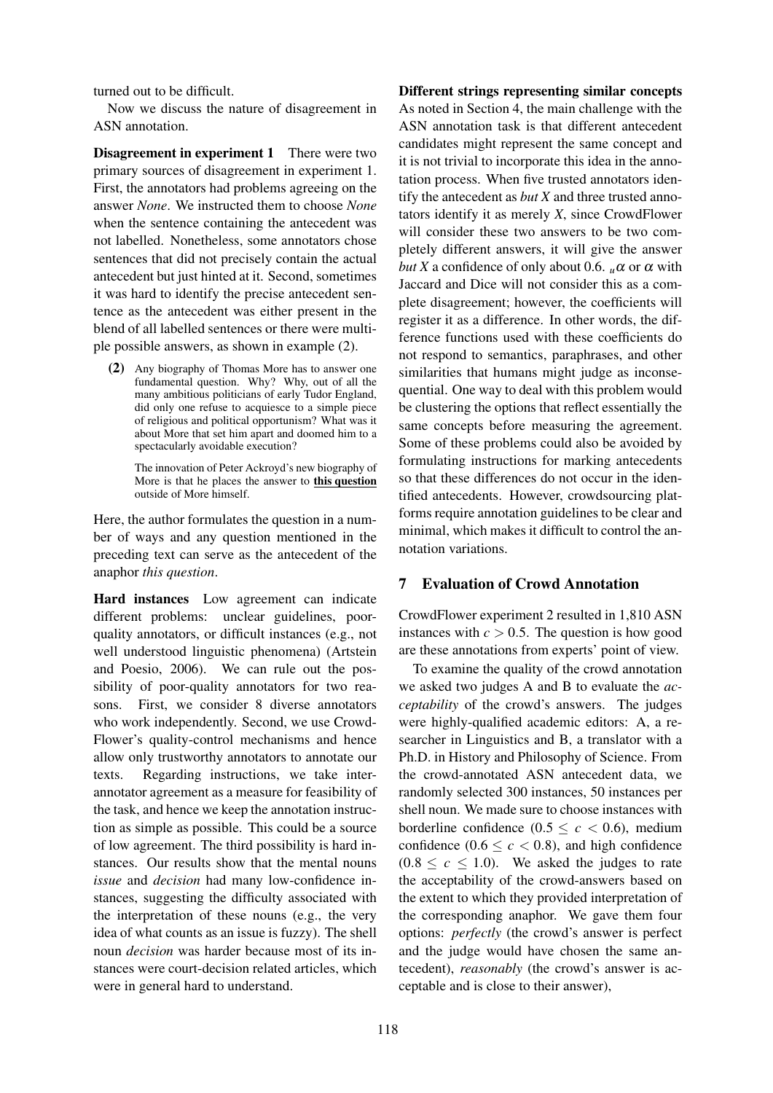turned out to be difficult.

Now we discuss the nature of disagreement in ASN annotation.

Disagreement in experiment 1 There were two primary sources of disagreement in experiment 1. First, the annotators had problems agreeing on the answer *None*. We instructed them to choose *None* when the sentence containing the antecedent was not labelled. Nonetheless, some annotators chose sentences that did not precisely contain the actual antecedent but just hinted at it. Second, sometimes it was hard to identify the precise antecedent sentence as the antecedent was either present in the blend of all labelled sentences or there were multiple possible answers, as shown in example (2).

(2) Any biography of Thomas More has to answer one fundamental question. Why? Why, out of all the many ambitious politicians of early Tudor England, did only one refuse to acquiesce to a simple piece of religious and political opportunism? What was it about More that set him apart and doomed him to a spectacularly avoidable execution?

The innovation of Peter Ackroyd's new biography of More is that he places the answer to this question outside of More himself.

Here, the author formulates the question in a number of ways and any question mentioned in the preceding text can serve as the antecedent of the anaphor *this question*.

Hard instances Low agreement can indicate different problems: unclear guidelines, poorquality annotators, or difficult instances (e.g., not well understood linguistic phenomena) (Artstein and Poesio, 2006). We can rule out the possibility of poor-quality annotators for two reasons. First, we consider 8 diverse annotators who work independently. Second, we use Crowd-Flower's quality-control mechanisms and hence allow only trustworthy annotators to annotate our texts. Regarding instructions, we take interannotator agreement as a measure for feasibility of the task, and hence we keep the annotation instruction as simple as possible. This could be a source of low agreement. The third possibility is hard instances. Our results show that the mental nouns *issue* and *decision* had many low-confidence instances, suggesting the difficulty associated with the interpretation of these nouns (e.g., the very idea of what counts as an issue is fuzzy). The shell noun *decision* was harder because most of its instances were court-decision related articles, which were in general hard to understand.

### Different strings representing similar concepts

As noted in Section 4, the main challenge with the ASN annotation task is that different antecedent candidates might represent the same concept and it is not trivial to incorporate this idea in the annotation process. When five trusted annotators identify the antecedent as *but X* and three trusted annotators identify it as merely *X*, since CrowdFlower will consider these two answers to be two completely different answers, it will give the answer *but X* a confidence of only about 0.6.  $\mu \alpha$  or  $\alpha$  with Jaccard and Dice will not consider this as a complete disagreement; however, the coefficients will register it as a difference. In other words, the difference functions used with these coefficients do not respond to semantics, paraphrases, and other similarities that humans might judge as inconsequential. One way to deal with this problem would be clustering the options that reflect essentially the same concepts before measuring the agreement. Some of these problems could also be avoided by formulating instructions for marking antecedents so that these differences do not occur in the identified antecedents. However, crowdsourcing platforms require annotation guidelines to be clear and minimal, which makes it difficult to control the annotation variations.

# 7 Evaluation of Crowd Annotation

CrowdFlower experiment 2 resulted in 1,810 ASN instances with  $c > 0.5$ . The question is how good are these annotations from experts' point of view.

To examine the quality of the crowd annotation we asked two judges A and B to evaluate the *acceptability* of the crowd's answers. The judges were highly-qualified academic editors: A, a researcher in Linguistics and B, a translator with a Ph.D. in History and Philosophy of Science. From the crowd-annotated ASN antecedent data, we randomly selected 300 instances, 50 instances per shell noun. We made sure to choose instances with borderline confidence  $(0.5 \leq c < 0.6)$ , medium confidence  $(0.6 \leq c < 0.8)$ , and high confidence  $(0.8 \leq c \leq 1.0)$ . We asked the judges to rate the acceptability of the crowd-answers based on the extent to which they provided interpretation of the corresponding anaphor. We gave them four options: *perfectly* (the crowd's answer is perfect and the judge would have chosen the same antecedent), *reasonably* (the crowd's answer is acceptable and is close to their answer),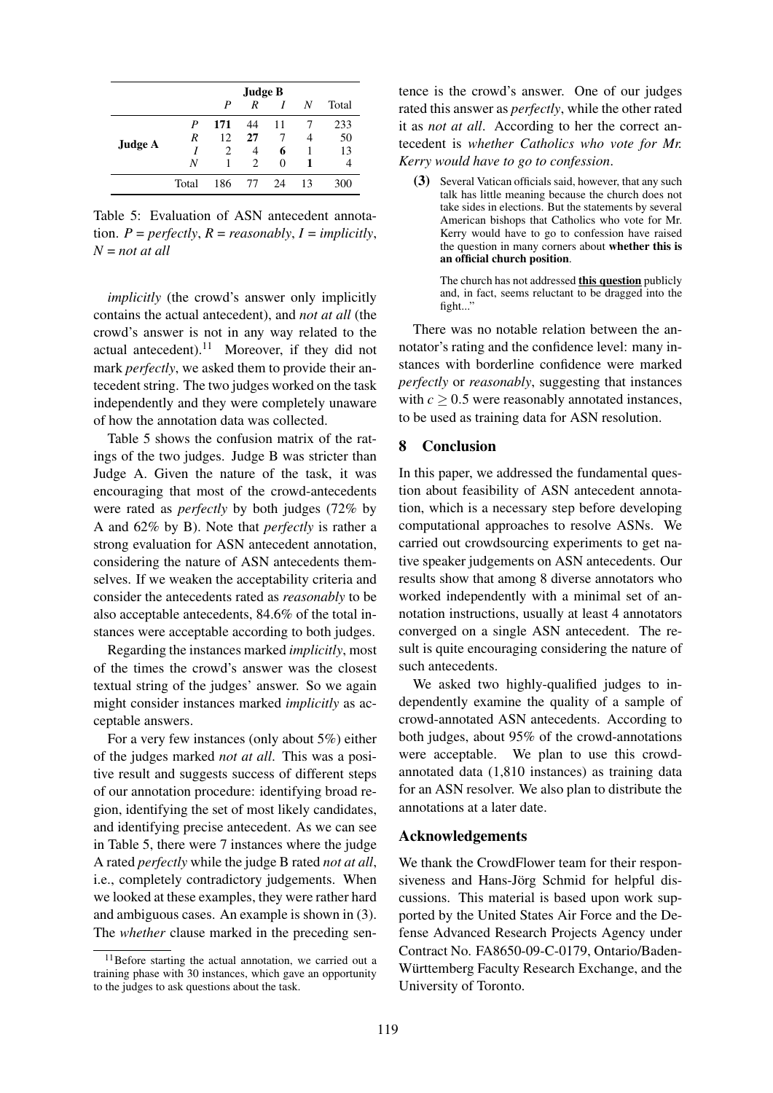|         | <b>Judge B</b> |     |    |    |    |       |
|---------|----------------|-----|----|----|----|-------|
|         |                | P   | R  | I  | N  | Total |
|         | P              | 171 | 44 | 11 |    | 233   |
| Judge A | R              | 12  | 27 | 7  | 4  | 50    |
|         |                | 2   | 4  | 6  |    | 13    |
|         | N              |     | 2  | 0  |    |       |
|         | Total          | 186 | 77 | 24 | 13 | 300   |

Table 5: Evaluation of ASN antecedent annotation.  $P = perfectly, R = reasonably, I = implicitly,$ *N* = *not at all*

*implicitly* (the crowd's answer only implicitly contains the actual antecedent), and *not at all* (the crowd's answer is not in any way related to the actual antecedent).<sup>11</sup> Moreover, if they did not mark *perfectly*, we asked them to provide their antecedent string. The two judges worked on the task independently and they were completely unaware of how the annotation data was collected.

Table 5 shows the confusion matrix of the ratings of the two judges. Judge B was stricter than Judge A. Given the nature of the task, it was encouraging that most of the crowd-antecedents were rated as *perfectly* by both judges (72% by A and 62% by B). Note that *perfectly* is rather a strong evaluation for ASN antecedent annotation, considering the nature of ASN antecedents themselves. If we weaken the acceptability criteria and consider the antecedents rated as *reasonably* to be also acceptable antecedents, 84.6% of the total instances were acceptable according to both judges.

Regarding the instances marked *implicitly*, most of the times the crowd's answer was the closest textual string of the judges' answer. So we again might consider instances marked *implicitly* as acceptable answers.

For a very few instances (only about 5%) either of the judges marked *not at all*. This was a positive result and suggests success of different steps of our annotation procedure: identifying broad region, identifying the set of most likely candidates, and identifying precise antecedent. As we can see in Table 5, there were 7 instances where the judge A rated *perfectly* while the judge B rated *not at all*, i.e., completely contradictory judgements. When we looked at these examples, they were rather hard and ambiguous cases. An example is shown in (3). The *whether* clause marked in the preceding sentence is the crowd's answer. One of our judges rated this answer as *perfectly*, while the other rated it as *not at all*. According to her the correct antecedent is *whether Catholics who vote for Mr. Kerry would have to go to confession*.

(3) Several Vatican officials said, however, that any such talk has little meaning because the church does not take sides in elections. But the statements by several American bishops that Catholics who vote for Mr. Kerry would have to go to confession have raised the question in many corners about whether this is an official church position.

> The church has not addressed this question publicly and, in fact, seems reluctant to be dragged into the fight..."

There was no notable relation between the annotator's rating and the confidence level: many instances with borderline confidence were marked *perfectly* or *reasonably*, suggesting that instances with  $c \geq 0.5$  were reasonably annotated instances, to be used as training data for ASN resolution.

# 8 Conclusion

In this paper, we addressed the fundamental question about feasibility of ASN antecedent annotation, which is a necessary step before developing computational approaches to resolve ASNs. We carried out crowdsourcing experiments to get native speaker judgements on ASN antecedents. Our results show that among 8 diverse annotators who worked independently with a minimal set of annotation instructions, usually at least 4 annotators converged on a single ASN antecedent. The result is quite encouraging considering the nature of such antecedents.

We asked two highly-qualified judges to independently examine the quality of a sample of crowd-annotated ASN antecedents. According to both judges, about 95% of the crowd-annotations were acceptable. We plan to use this crowdannotated data (1,810 instances) as training data for an ASN resolver. We also plan to distribute the annotations at a later date.

### Acknowledgements

We thank the CrowdFlower team for their responsiveness and Hans-Jörg Schmid for helpful discussions. This material is based upon work supported by the United States Air Force and the Defense Advanced Research Projects Agency under Contract No. FA8650-09-C-0179, Ontario/Baden-Württemberg Faculty Research Exchange, and the University of Toronto.

<sup>11</sup>Before starting the actual annotation, we carried out a training phase with 30 instances, which gave an opportunity to the judges to ask questions about the task.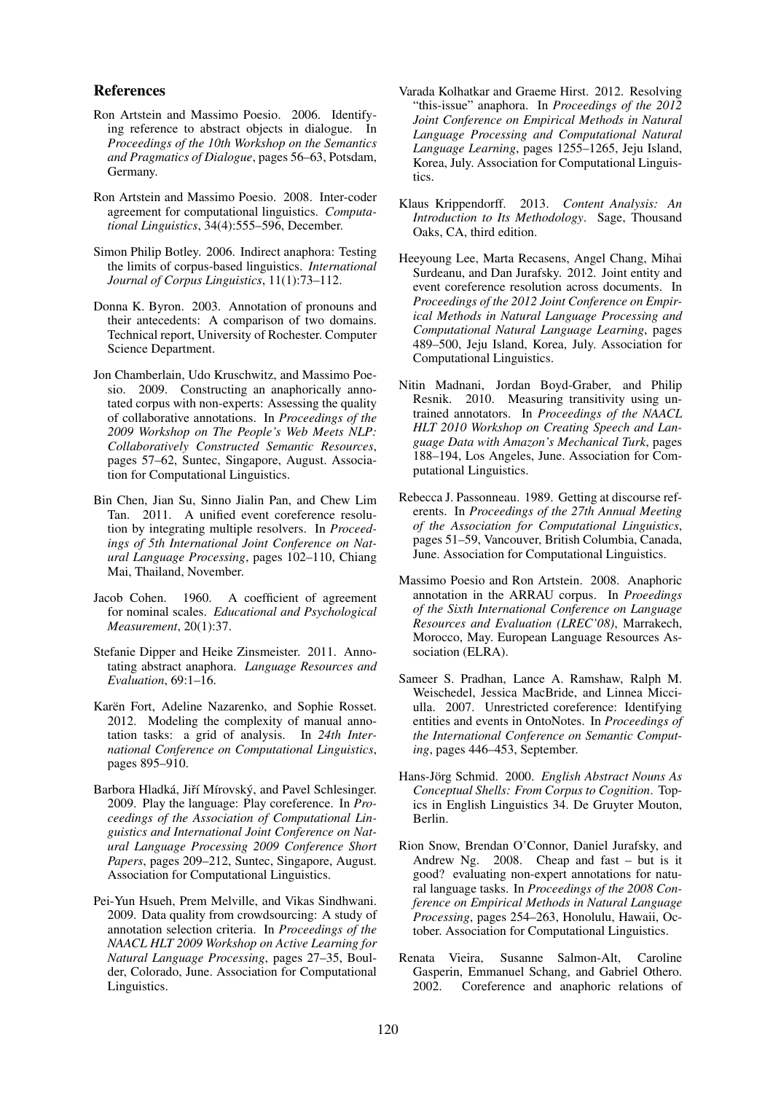#### References

- Ron Artstein and Massimo Poesio. 2006. Identifying reference to abstract objects in dialogue. In *Proceedings of the 10th Workshop on the Semantics and Pragmatics of Dialogue*, pages 56–63, Potsdam, Germany.
- Ron Artstein and Massimo Poesio. 2008. Inter-coder agreement for computational linguistics. *Computational Linguistics*, 34(4):555–596, December.
- Simon Philip Botley. 2006. Indirect anaphora: Testing the limits of corpus-based linguistics. *International Journal of Corpus Linguistics*, 11(1):73–112.
- Donna K. Byron. 2003. Annotation of pronouns and their antecedents: A comparison of two domains. Technical report, University of Rochester. Computer Science Department.
- Jon Chamberlain, Udo Kruschwitz, and Massimo Poesio. 2009. Constructing an anaphorically annotated corpus with non-experts: Assessing the quality of collaborative annotations. In *Proceedings of the 2009 Workshop on The People's Web Meets NLP: Collaboratively Constructed Semantic Resources*, pages 57–62, Suntec, Singapore, August. Association for Computational Linguistics.
- Bin Chen, Jian Su, Sinno Jialin Pan, and Chew Lim Tan. 2011. A unified event coreference resolution by integrating multiple resolvers. In *Proceedings of 5th International Joint Conference on Natural Language Processing*, pages 102–110, Chiang Mai, Thailand, November.
- Jacob Cohen. 1960. A coefficient of agreement for nominal scales. *Educational and Psychological Measurement*, 20(1):37.
- Stefanie Dipper and Heike Zinsmeister. 2011. Annotating abstract anaphora. *Language Resources and Evaluation*, 69:1–16.
- Karën Fort, Adeline Nazarenko, and Sophie Rosset. 2012. Modeling the complexity of manual annotation tasks: a grid of analysis. In *24th International Conference on Computational Linguistics*, pages 895–910.
- Barbora Hladká, Jiří Mírovský, and Pavel Schlesinger. 2009. Play the language: Play coreference. In *Proceedings of the Association of Computational Linguistics and International Joint Conference on Natural Language Processing 2009 Conference Short Papers*, pages 209–212, Suntec, Singapore, August. Association for Computational Linguistics.
- Pei-Yun Hsueh, Prem Melville, and Vikas Sindhwani. 2009. Data quality from crowdsourcing: A study of annotation selection criteria. In *Proceedings of the NAACL HLT 2009 Workshop on Active Learning for Natural Language Processing*, pages 27–35, Boulder, Colorado, June. Association for Computational Linguistics.
- Varada Kolhatkar and Graeme Hirst. 2012. Resolving "this-issue" anaphora. In *Proceedings of the 2012 Joint Conference on Empirical Methods in Natural Language Processing and Computational Natural Language Learning*, pages 1255–1265, Jeju Island, Korea, July. Association for Computational Linguistics.
- Klaus Krippendorff. 2013. *Content Analysis: An Introduction to Its Methodology*. Sage, Thousand Oaks, CA, third edition.
- Heeyoung Lee, Marta Recasens, Angel Chang, Mihai Surdeanu, and Dan Jurafsky. 2012. Joint entity and event coreference resolution across documents. In *Proceedings of the 2012 Joint Conference on Empirical Methods in Natural Language Processing and Computational Natural Language Learning*, pages 489–500, Jeju Island, Korea, July. Association for Computational Linguistics.
- Nitin Madnani, Jordan Boyd-Graber, and Philip Resnik. 2010. Measuring transitivity using untrained annotators. In *Proceedings of the NAACL HLT 2010 Workshop on Creating Speech and Language Data with Amazon's Mechanical Turk*, pages 188–194, Los Angeles, June. Association for Computational Linguistics.
- Rebecca J. Passonneau. 1989. Getting at discourse referents. In *Proceedings of the 27th Annual Meeting of the Association for Computational Linguistics*, pages 51–59, Vancouver, British Columbia, Canada, June. Association for Computational Linguistics.
- Massimo Poesio and Ron Artstein. 2008. Anaphoric annotation in the ARRAU corpus. In *Proeedings of the Sixth International Conference on Language Resources and Evaluation (LREC'08)*, Marrakech, Morocco, May. European Language Resources Association (ELRA).
- Sameer S. Pradhan, Lance A. Ramshaw, Ralph M. Weischedel, Jessica MacBride, and Linnea Micciulla. 2007. Unrestricted coreference: Identifying entities and events in OntoNotes. In *Proceedings of the International Conference on Semantic Computing*, pages 446–453, September.
- Hans-Jörg Schmid. 2000. English Abstract Nouns As *Conceptual Shells: From Corpus to Cognition*. Topics in English Linguistics 34. De Gruyter Mouton, Berlin.
- Rion Snow, Brendan O'Connor, Daniel Jurafsky, and Andrew Ng. 2008. Cheap and fast – but is it good? evaluating non-expert annotations for natural language tasks. In *Proceedings of the 2008 Conference on Empirical Methods in Natural Language Processing*, pages 254–263, Honolulu, Hawaii, October. Association for Computational Linguistics.
- Renata Vieira, Susanne Salmon-Alt, Caroline Gasperin, Emmanuel Schang, and Gabriel Othero. 2002. Coreference and anaphoric relations of